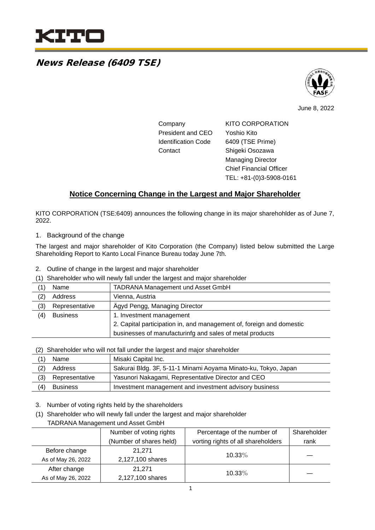

## News Release (6409 TSE)



June 8, 2022

| Company                    | <b>KITO CORPORATION</b>        |
|----------------------------|--------------------------------|
| President and CEO          | Yoshio Kito                    |
| <b>Identification Code</b> | 6409 (TSE Prime)               |
| Contact                    | Shigeki Osozawa                |
|                            | <b>Managing Director</b>       |
|                            | <b>Chief Financial Officer</b> |

TEL: +81-(0)3-5908-0161

## **Notice Concerning Change in the Largest and Major Shareholder**

KITO CORPORATION (TSE:6409) announces the following change in its major sharehohlder as of June 7, 2022.

#### 1. Background of the change

The largest and major shareholder of Kito Corporation (the Company) listed below submitted the Large Shareholding Report to Kanto Local Finance Bureau today June 7th.

- 2. Outline of change in the largest and major shareholder
- (1) Shareholder who will newly fall under the largest and major shareholder

| <b>TADRANA Management und Asset GmbH</b><br>Name<br>'1)              |  |  |
|----------------------------------------------------------------------|--|--|
| Address<br>Vienna, Austria<br>(2)                                    |  |  |
| Ägyd Pengg, Managing Director<br>(3)<br>Representative               |  |  |
| (4)<br><b>Business</b><br>1. Investment management                   |  |  |
| 2. Capital participation in, and management of, foreign and domestic |  |  |
| businesses of manufacturinfg and sales of metal products             |  |  |

(2) Shareholder who will not fall under the largest and major shareholder

|     | Name            | Misaki Capital Inc.                                            |
|-----|-----------------|----------------------------------------------------------------|
| (2) | Address         | Sakurai Bldg. 3F, 5-11-1 Minami Aoyama Minato-ku, Tokyo, Japan |
| (3) | Representative  | Yasunori Nakagami, Representative Director and CEO             |
| (4) | <b>Business</b> | Investment management and investment advisory business         |

3. Number of voting rights held by the shareholders

(1) Shareholder who will newly fall under the largest and major shareholder

TADRANA Management und Asset GmbH

|                    | Number of voting rights | Percentage of the number of        | Shareholder |
|--------------------|-------------------------|------------------------------------|-------------|
|                    | (Number of shares held) | vorting rights of all shareholders | rank        |
| Before change      | 21.271                  | 10.33%                             |             |
| As of May 26, 2022 | 2,127,100 shares        |                                    |             |
| After change       | 21.271                  | 10.33%                             |             |
| As of May 26, 2022 | 2,127,100 shares        |                                    |             |